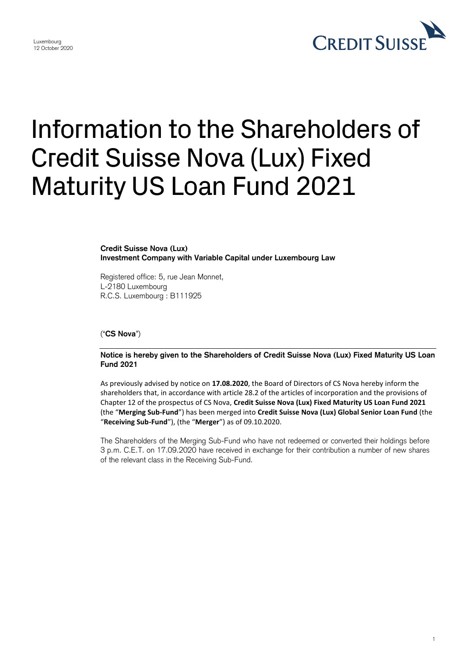## **CREDIT SUISS**

## Information to the Shareholders of Credit Suisse Nova (Lux) Fixed Maturity US Loan Fund 2021

**Credit Suisse Nova (Lux) Investment Company with Variable Capital under Luxembourg Law**

Registered office: 5, rue Jean Monnet, L-2180 Luxembourg R.C.S. Luxembourg : B111925

("**CS Nova**")

Luxembourg 12 October 2020

> **Notice is hereby given to the Shareholders of Credit Suisse Nova (Lux) Fixed Maturity US Loan Fund 2021**

> As previously advised by notice on **17.08.2020**, the Board of Directors of CS Nova hereby inform the shareholders that, in accordance with article 28.2 of the articles of incorporation and the provisions of Chapter 12 of the prospectus of CS Nova, **Credit Suisse Nova (Lux) Fixed Maturity US Loan Fund 2021** (the "**Merging Sub-Fund**") has been merged into **Credit Suisse Nova (Lux) Global Senior Loan Fund** (the "**Receiving Sub-Fund**"), (the "**Merger**") as of 09.10.2020.

> The Shareholders of the Merging Sub-Fund who have not redeemed or converted their holdings before 3 p.m. C.E.T. on 17.09.2020 have received in exchange for their contribution a number of new shares of the relevant class in the Receiving Sub-Fund.